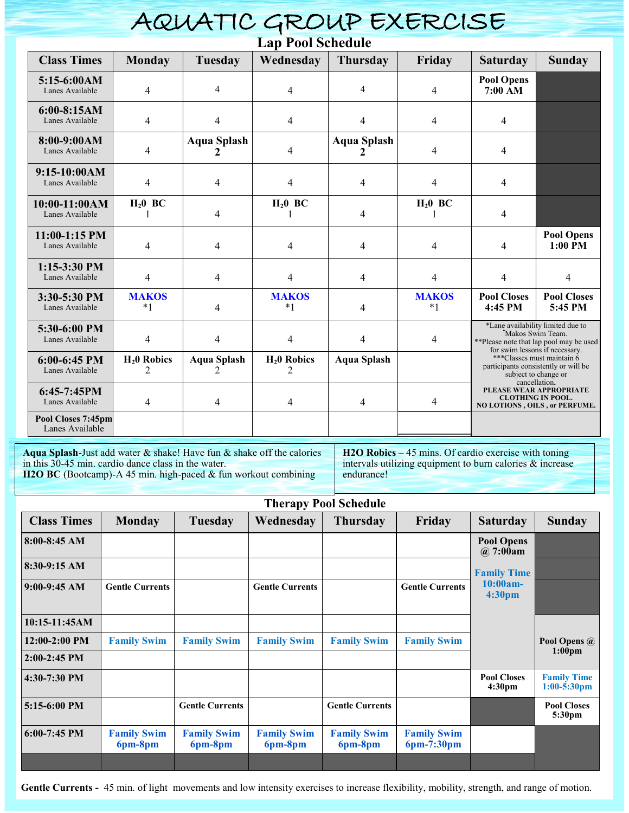| AQUATIC GROUP EXERCISE                |                      |                         |                                |                         |                      |                                                                                                                                                                                                                                                                                                                                           |                               |  |  |  |  |
|---------------------------------------|----------------------|-------------------------|--------------------------------|-------------------------|----------------------|-------------------------------------------------------------------------------------------------------------------------------------------------------------------------------------------------------------------------------------------------------------------------------------------------------------------------------------------|-------------------------------|--|--|--|--|
| <b>Lap Pool Schedule</b>              |                      |                         |                                |                         |                      |                                                                                                                                                                                                                                                                                                                                           |                               |  |  |  |  |
| <b>Class Times</b>                    | <b>Monday</b>        | Tuesday                 | Wednesday                      | <b>Thursday</b>         | Friday               | <b>Saturday</b>                                                                                                                                                                                                                                                                                                                           | <b>Sunday</b>                 |  |  |  |  |
| $5:15-6:00AM$<br>Lanes Available      | 4                    | 4                       | $\overline{4}$                 | 4                       | $\overline{4}$       | <b>Pool Opens</b><br>7:00 AM                                                                                                                                                                                                                                                                                                              |                               |  |  |  |  |
| $6:00-8:15AM$<br>Lanes Available      | 4                    | $\overline{4}$          | $\overline{4}$                 | 4                       | $\overline{4}$       | $\overline{4}$                                                                                                                                                                                                                                                                                                                            |                               |  |  |  |  |
| $8:00-9:00AM$<br>Lanes Available      | 4                    | <b>Aqua Splash</b><br>2 | $\overline{4}$                 | <b>Aqua Splash</b><br>2 | $\overline{4}$       | 4                                                                                                                                                                                                                                                                                                                                         |                               |  |  |  |  |
| $9:15-10:00AM$<br>Lanes Available     | 4                    | 4                       | 4                              | 4                       | $\overline{4}$       | $\overline{4}$                                                                                                                                                                                                                                                                                                                            |                               |  |  |  |  |
| $10:00-11:00AM$<br>Lanes Available    | $H20$ BC             | 4                       | $H_20$ BC                      | 4                       | $H20$ BC             | $\overline{4}$                                                                                                                                                                                                                                                                                                                            |                               |  |  |  |  |
| $11:00-1:15$ PM<br>Lanes Available    | 4                    | 4                       | $\overline{4}$                 | 4                       | $\overline{4}$       | $\overline{4}$                                                                                                                                                                                                                                                                                                                            | <b>Pool Opens</b><br>1:00 PM  |  |  |  |  |
| $1:15-3:30$ PM<br>Lanes Available     | $\overline{4}$       | $\overline{4}$          | $\overline{4}$                 | 4                       | $\overline{4}$       | $\overline{4}$                                                                                                                                                                                                                                                                                                                            | $\overline{4}$                |  |  |  |  |
| 3:30-5:30 PM<br>Lanes Available       | <b>MAKOS</b><br>$*1$ | 4                       | <b>MAKOS</b><br>$*1$           | 4                       | <b>MAKOS</b><br>$*1$ | <b>Pool Closes</b><br>4:45 PM                                                                                                                                                                                                                                                                                                             | <b>Pool Closes</b><br>5:45 PM |  |  |  |  |
| 5:30-6:00 PM<br>Lanes Available       | $\overline{4}$       | $\overline{4}$          | $\overline{4}$                 | 4                       | $\overline{4}$       | *Lane availability limited due to<br>Makos Swim Team.<br>**Please note that lap pool may be used<br>for swim lessons if necessary.<br>***Classes must maintain 6<br>participants consistently or will be<br>subject to change or<br>cancellation.<br>PLEASE WEAR APPROPRIATE<br><b>CLOTHING IN POOL.</b><br>NO LOTIONS, OILS, or PERFUME. |                               |  |  |  |  |
| $6:00-6:45$ PM<br>Lanes Available     | $H20$ Robics<br>2    | <b>Aqua Splash</b><br>2 | $H20$ Robics<br>$\mathfrak{D}$ | <b>Aqua Splash</b>      |                      |                                                                                                                                                                                                                                                                                                                                           |                               |  |  |  |  |
| $6:45-7:45PM$<br>Lanes Available      | 4                    | $\overline{4}$          | $\overline{4}$                 | 4                       | $\overline{4}$       |                                                                                                                                                                                                                                                                                                                                           |                               |  |  |  |  |
| Pool Closes 7:45pm<br>Lanes Available |                      |                         |                                |                         |                      |                                                                                                                                                                                                                                                                                                                                           |                               |  |  |  |  |

**Aqua Splash**-Just add water & shake! Have fun & shake off the calories in this 30-45 min. cardio dance class in the water. H2O BC (Bootcamp)-A 45 min. high-paced & fun workout combining

**H2O Robics** – 45 mins. Of cardio exercise with toning intervals utilizing equipment to burn calories & increase endurance!

| <b>Therapy Pool Schedule</b> |                               |                               |                               |                               |                                  |                                          |                                          |  |  |  |  |
|------------------------------|-------------------------------|-------------------------------|-------------------------------|-------------------------------|----------------------------------|------------------------------------------|------------------------------------------|--|--|--|--|
| <b>Class Times</b>           | <b>Monday</b>                 | Tuesday                       | Wednesday                     | <b>Thursday</b>               | Friday                           | <b>Saturday</b>                          | <b>Sunday</b>                            |  |  |  |  |
| $8:00-8:45 AM$               |                               |                               |                               |                               |                                  | <b>Pool Opens</b><br>$\omega$ 7:00am     |                                          |  |  |  |  |
| $8:30-9:15 AM$               |                               |                               |                               |                               |                                  | <b>Family Time</b>                       |                                          |  |  |  |  |
| $9:00-9:45 AM$               | <b>Gentle Currents</b>        |                               | <b>Gentle Currents</b>        |                               | <b>Gentle Currents</b>           | $10:00am -$<br>4:30pm                    |                                          |  |  |  |  |
| 10:15-11:45AM                |                               |                               |                               |                               |                                  |                                          |                                          |  |  |  |  |
| $12:00-2:00$ PM              | <b>Family Swim</b>            | <b>Family Swim</b>            | <b>Family Swim</b>            | <b>Family Swim</b>            | <b>Family Swim</b>               |                                          | Pool Opens @                             |  |  |  |  |
| $2:00-2:45$ PM               |                               |                               |                               |                               |                                  |                                          | 1:00 <sub>pm</sub>                       |  |  |  |  |
| 4:30-7:30 PM                 |                               |                               |                               |                               |                                  | <b>Pool Closes</b><br>4:30 <sub>pm</sub> | <b>Family Time</b><br>$1:00-5:30$ pm     |  |  |  |  |
| 5:15-6:00 PM                 |                               | <b>Gentle Currents</b>        |                               | <b>Gentle Currents</b>        |                                  |                                          | <b>Pool Closes</b><br>5:30 <sub>pm</sub> |  |  |  |  |
| $6:00-7:45$ PM               | <b>Family Swim</b><br>6pm-8pm | <b>Family Swim</b><br>6pm-8pm | <b>Family Swim</b><br>6pm-8pm | <b>Family Swim</b><br>6pm-8pm | <b>Family Swim</b><br>6pm-7:30pm |                                          |                                          |  |  |  |  |
|                              |                               |                               |                               |                               |                                  |                                          |                                          |  |  |  |  |

Gentle Currents - 45 min. of light movements and low intensity exercises to increase flexibility, mobility, strength, and range of motion.